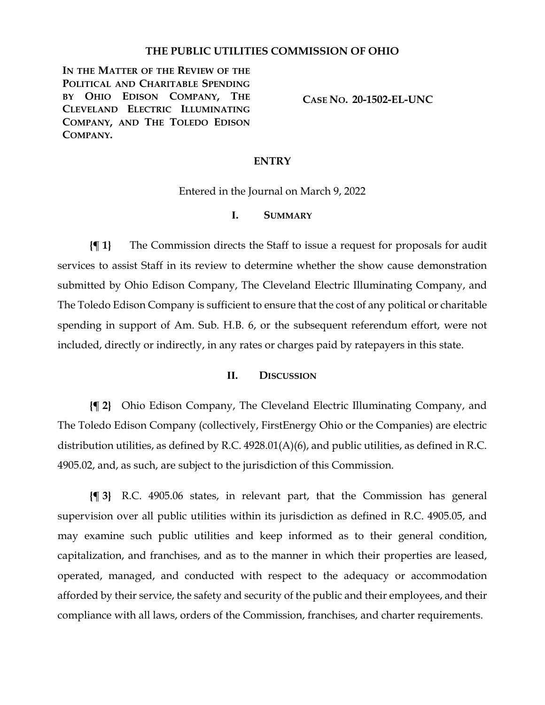#### **THE PUBLIC UTILITIES COMMISSION OF OHIO**

**IN THE MATTER OF THE REVIEW OF THE POLITICAL AND CHARITABLE SPENDING BY OHIO EDISON COMPANY, THE CLEVELAND ELECTRIC ILLUMINATING COMPANY, AND THE TOLEDO EDISON COMPANY.**

**CASE NO. 20-1502-EL-UNC**

#### **ENTRY**

Entered in the Journal on March 9, 2022

#### **I. SUMMARY**

**{¶ 1}** The Commission directs the Staff to issue a request for proposals for audit services to assist Staff in its review to determine whether the show cause demonstration submitted by Ohio Edison Company, The Cleveland Electric Illuminating Company, and The Toledo Edison Company is sufficient to ensure that the cost of any political or charitable spending in support of Am. Sub. H.B. 6, or the subsequent referendum effort, were not included, directly or indirectly, in any rates or charges paid by ratepayers in this state.

#### **II. DISCUSSION**

**{¶ 2}** Ohio Edison Company, The Cleveland Electric Illuminating Company, and The Toledo Edison Company (collectively, FirstEnergy Ohio or the Companies) are electric distribution utilities, as defined by R.C. 4928.01(A)(6), and public utilities, as defined in R.C. 4905.02, and, as such, are subject to the jurisdiction of this Commission.

**{¶ 3}** R.C. 4905.06 states, in relevant part, that the Commission has general supervision over all public utilities within its jurisdiction as defined in R.C. 4905.05, and may examine such public utilities and keep informed as to their general condition, capitalization, and franchises, and as to the manner in which their properties are leased, operated, managed, and conducted with respect to the adequacy or accommodation afforded by their service, the safety and security of the public and their employees, and their compliance with all laws, orders of the Commission, franchises, and charter requirements.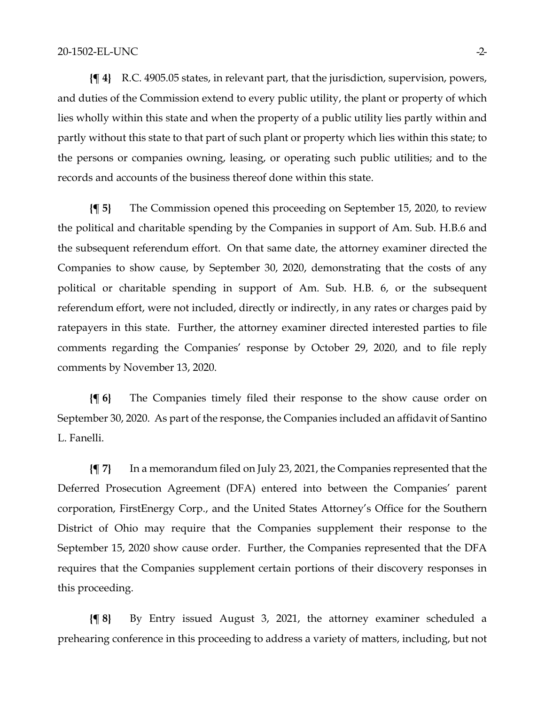**{¶ 4}** R.C. 4905.05 states, in relevant part, that the jurisdiction, supervision, powers, and duties of the Commission extend to every public utility, the plant or property of which lies wholly within this state and when the property of a public utility lies partly within and partly without this state to that part of such plant or property which lies within this state; to the persons or companies owning, leasing, or operating such public utilities; and to the records and accounts of the business thereof done within this state.

**{¶ 5}** The Commission opened this proceeding on September 15, 2020, to review the political and charitable spending by the Companies in support of Am. Sub. H.B.6 and the subsequent referendum effort. On that same date, the attorney examiner directed the Companies to show cause, by September 30, 2020, demonstrating that the costs of any political or charitable spending in support of Am. Sub. H.B. 6, or the subsequent referendum effort, were not included, directly or indirectly, in any rates or charges paid by ratepayers in this state. Further, the attorney examiner directed interested parties to file comments regarding the Companies' response by October 29, 2020, and to file reply comments by November 13, 2020.

**{¶ 6}** The Companies timely filed their response to the show cause order on September 30, 2020. As part of the response, the Companies included an affidavit of Santino L. Fanelli.

**{¶ 7}** In a memorandum filed on July 23, 2021, the Companies represented that the Deferred Prosecution Agreement (DFA) entered into between the Companies' parent corporation, FirstEnergy Corp., and the United States Attorney's Office for the Southern District of Ohio may require that the Companies supplement their response to the September 15, 2020 show cause order. Further, the Companies represented that the DFA requires that the Companies supplement certain portions of their discovery responses in this proceeding.

**{¶ 8}** By Entry issued August 3, 2021, the attorney examiner scheduled a prehearing conference in this proceeding to address a variety of matters, including, but not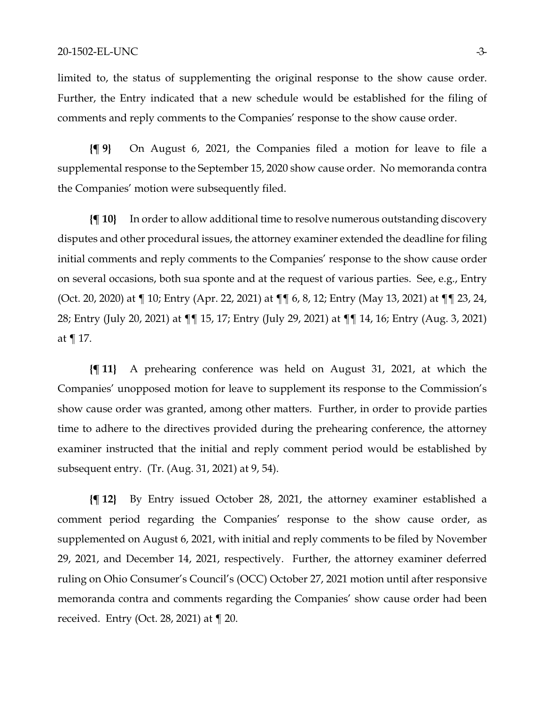limited to, the status of supplementing the original response to the show cause order. Further, the Entry indicated that a new schedule would be established for the filing of comments and reply comments to the Companies' response to the show cause order.

**{¶ 9}** On August 6, 2021, the Companies filed a motion for leave to file a supplemental response to the September 15, 2020 show cause order. No memoranda contra the Companies' motion were subsequently filed.

**{¶ 10}** In order to allow additional time to resolve numerous outstanding discovery disputes and other procedural issues, the attorney examiner extended the deadline for filing initial comments and reply comments to the Companies' response to the show cause order on several occasions, both sua sponte and at the request of various parties. See, e.g., Entry (Oct. 20, 2020) at ¶ 10; Entry (Apr. 22, 2021) at ¶¶ 6, 8, 12; Entry (May 13, 2021) at ¶¶ 23, 24, 28; Entry (July 20, 2021) at ¶¶ 15, 17; Entry (July 29, 2021) at ¶¶ 14, 16; Entry (Aug. 3, 2021) at ¶ 17.

**{¶ 11}** A prehearing conference was held on August 31, 2021, at which the Companies' unopposed motion for leave to supplement its response to the Commission's show cause order was granted, among other matters. Further, in order to provide parties time to adhere to the directives provided during the prehearing conference, the attorney examiner instructed that the initial and reply comment period would be established by subsequent entry. (Tr. (Aug. 31, 2021) at 9, 54).

**{¶ 12}** By Entry issued October 28, 2021, the attorney examiner established a comment period regarding the Companies' response to the show cause order, as supplemented on August 6, 2021, with initial and reply comments to be filed by November 29, 2021, and December 14, 2021, respectively. Further, the attorney examiner deferred ruling on Ohio Consumer's Council's (OCC) October 27, 2021 motion until after responsive memoranda contra and comments regarding the Companies' show cause order had been received. Entry (Oct. 28, 2021) at ¶ 20.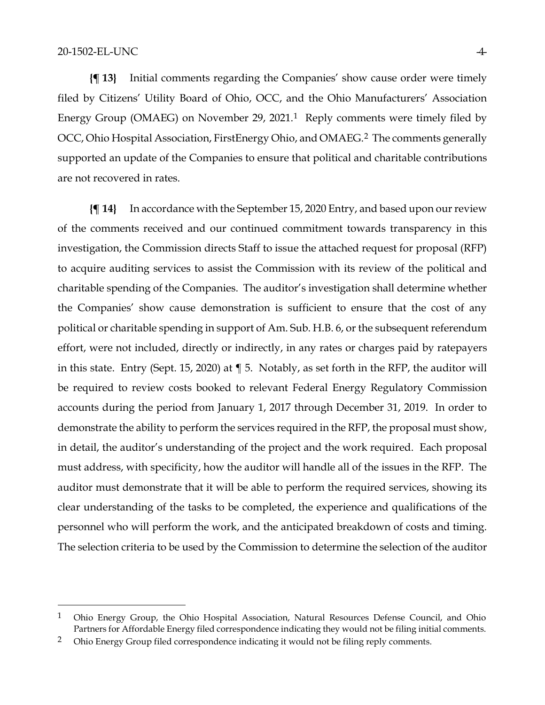**{¶ 13}** Initial comments regarding the Companies' show cause order were timely filed by Citizens' Utility Board of Ohio, OCC, and the Ohio Manufacturers' Association Energy Group (OMAEG) on November 29, 2021.[1](#page-3-0) Reply comments were timely filed by OCC, Ohio Hospital Association, FirstEnergy Ohio, and OMAEG.[2](#page-3-1) The comments generally supported an update of the Companies to ensure that political and charitable contributions are not recovered in rates.

**{¶ 14}** In accordance with the September 15, 2020 Entry, and based upon our review of the comments received and our continued commitment towards transparency in this investigation, the Commission directs Staff to issue the attached request for proposal (RFP) to acquire auditing services to assist the Commission with its review of the political and charitable spending of the Companies. The auditor's investigation shall determine whether the Companies' show cause demonstration is sufficient to ensure that the cost of any political or charitable spending in support of Am. Sub. H.B. 6, or the subsequent referendum effort, were not included, directly or indirectly, in any rates or charges paid by ratepayers in this state. Entry (Sept. 15, 2020) at ¶ 5. Notably, as set forth in the RFP, the auditor will be required to review costs booked to relevant Federal Energy Regulatory Commission accounts during the period from January 1, 2017 through December 31, 2019. In order to demonstrate the ability to perform the services required in the RFP, the proposal must show, in detail, the auditor's understanding of the project and the work required. Each proposal must address, with specificity, how the auditor will handle all of the issues in the RFP. The auditor must demonstrate that it will be able to perform the required services, showing its clear understanding of the tasks to be completed, the experience and qualifications of the personnel who will perform the work, and the anticipated breakdown of costs and timing. The selection criteria to be used by the Commission to determine the selection of the auditor

<span id="page-3-0"></span><sup>&</sup>lt;sup>1</sup> Ohio Energy Group, the Ohio Hospital Association, Natural Resources Defense Council, and Ohio Partners for Affordable Energy filed correspondence indicating they would not be filing initial comments.

<span id="page-3-1"></span><sup>&</sup>lt;sup>2</sup> Ohio Energy Group filed correspondence indicating it would not be filing reply comments.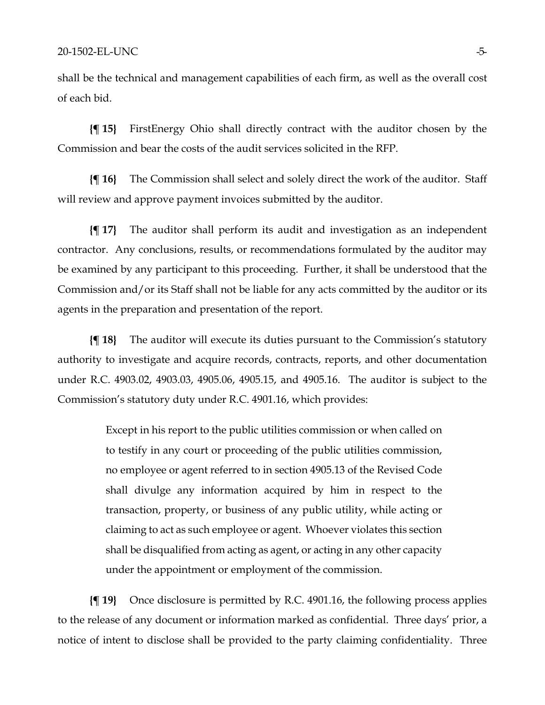shall be the technical and management capabilities of each firm, as well as the overall cost of each bid.

**{¶ 15}** FirstEnergy Ohio shall directly contract with the auditor chosen by the Commission and bear the costs of the audit services solicited in the RFP.

**{¶ 16}** The Commission shall select and solely direct the work of the auditor. Staff will review and approve payment invoices submitted by the auditor.

**{¶ 17}** The auditor shall perform its audit and investigation as an independent contractor. Any conclusions, results, or recommendations formulated by the auditor may be examined by any participant to this proceeding. Further, it shall be understood that the Commission and/or its Staff shall not be liable for any acts committed by the auditor or its agents in the preparation and presentation of the report.

**{¶ 18}** The auditor will execute its duties pursuant to the Commission's statutory authority to investigate and acquire records, contracts, reports, and other documentation under R.C. 4903.02, 4903.03, 4905.06, 4905.15, and 4905.16. The auditor is subject to the Commission's statutory duty under R.C. 4901.16, which provides:

> Except in his report to the public utilities commission or when called on to testify in any court or proceeding of the public utilities commission, no employee or agent referred to in section 4905.13 of the Revised Code shall divulge any information acquired by him in respect to the transaction, property, or business of any public utility, while acting or claiming to act as such employee or agent. Whoever violates this section shall be disqualified from acting as agent, or acting in any other capacity under the appointment or employment of the commission.

**{¶ 19}** Once disclosure is permitted by R.C. 4901.16, the following process applies to the release of any document or information marked as confidential. Three days' prior, a notice of intent to disclose shall be provided to the party claiming confidentiality. Three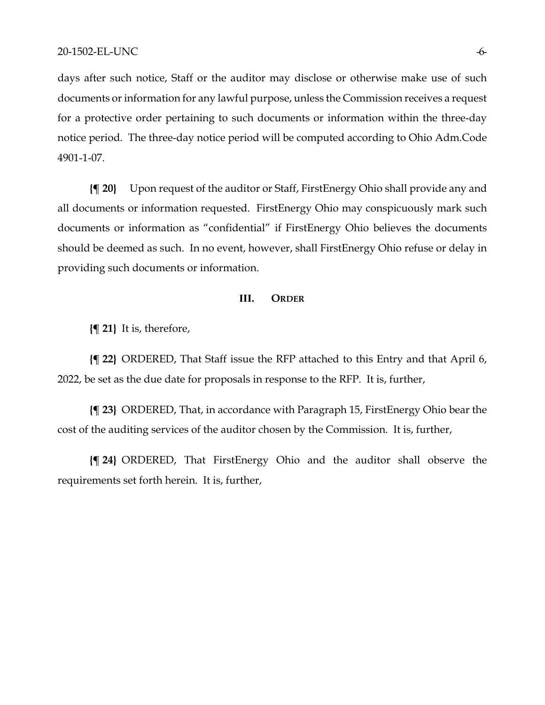days after such notice, Staff or the auditor may disclose or otherwise make use of such documents or information for any lawful purpose, unless the Commission receives a request for a protective order pertaining to such documents or information within the three-day notice period. The three-day notice period will be computed according to Ohio Adm.Code 4901-1-07.

**{¶ 20}** Upon request of the auditor or Staff, FirstEnergy Ohio shall provide any and all documents or information requested. FirstEnergy Ohio may conspicuously mark such documents or information as "confidential" if FirstEnergy Ohio believes the documents should be deemed as such. In no event, however, shall FirstEnergy Ohio refuse or delay in providing such documents or information.

#### **III. ORDER**

**{¶ 21}** It is, therefore,

**{¶ 22}** ORDERED, That Staff issue the RFP attached to this Entry and that April 6, 2022, be set as the due date for proposals in response to the RFP. It is, further,

**{¶ 23}** ORDERED, That, in accordance with Paragraph 15, FirstEnergy Ohio bear the cost of the auditing services of the auditor chosen by the Commission. It is, further,

**{¶ 24}** ORDERED, That FirstEnergy Ohio and the auditor shall observe the requirements set forth herein. It is, further,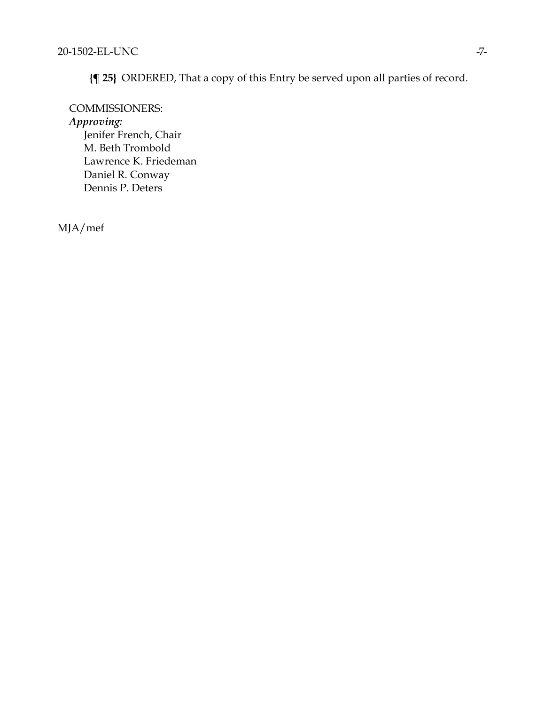**{¶ 25}** ORDERED, That a copy of this Entry be served upon all parties of record.

COMMISSIONERS: *Approving:*  Jenifer French, Chair M. Beth Trombold Lawrence K. Friedeman Daniel R. Conway Dennis P. Deters

MJA/mef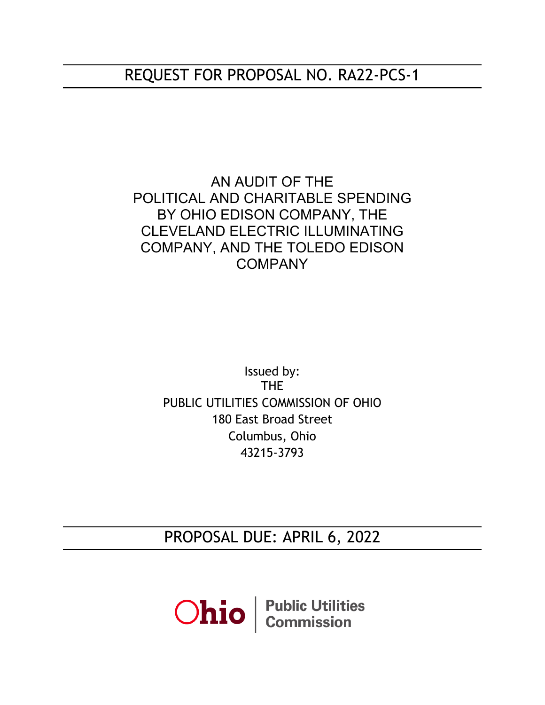# REQUEST FOR PROPOSAL NO. RA22-PCS-1

AN AUDIT OF THE POLITICAL AND CHARITABLE SPENDING BY OHIO EDISON COMPANY, THE CLEVELAND ELECTRIC ILLUMINATING COMPANY, AND THE TOLEDO EDISON **COMPANY** 

> Issued by: THE PUBLIC UTILITIES COMMISSION OF OHIO 180 East Broad Street Columbus, Ohio 43215-3793

> PROPOSAL DUE: APRIL 6, 2022

**Ohio** *Commission*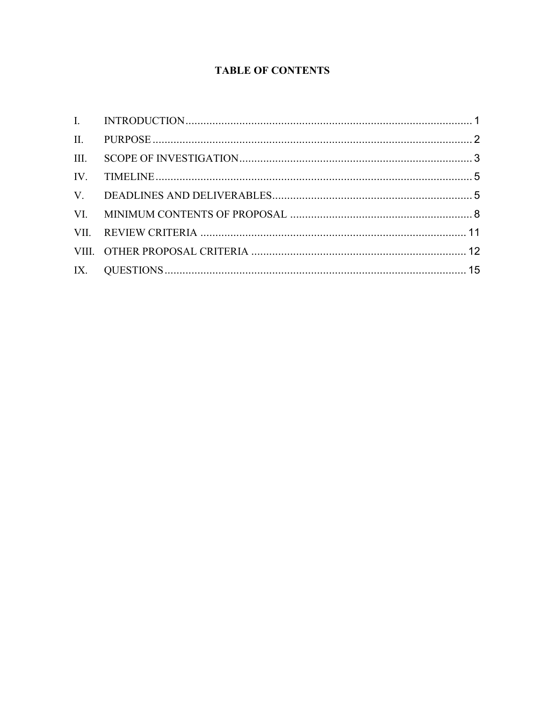# **TABLE OF CONTENTS**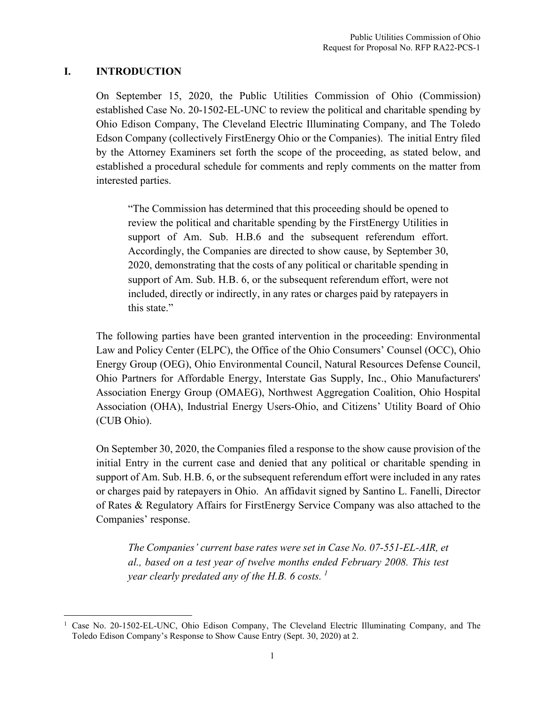## <span id="page-9-0"></span>**I. INTRODUCTION**

On September 15, 2020, the Public Utilities Commission of Ohio (Commission) established Case No. 20-1502-EL-UNC to review the political and charitable spending by Ohio Edison Company, The Cleveland Electric Illuminating Company, and The Toledo Edson Company (collectively FirstEnergy Ohio or the Companies). The initial Entry filed by the Attorney Examiners set forth the scope of the proceeding, as stated below, and established a procedural schedule for comments and reply comments on the matter from interested parties.

"The Commission has determined that this proceeding should be opened to review the political and charitable spending by the FirstEnergy Utilities in support of Am. Sub. H.B.6 and the subsequent referendum effort. Accordingly, the Companies are directed to show cause, by September 30, 2020, demonstrating that the costs of any political or charitable spending in support of Am. Sub. H.B. 6, or the subsequent referendum effort, were not included, directly or indirectly, in any rates or charges paid by ratepayers in this state."

The following parties have been granted intervention in the proceeding: Environmental Law and Policy Center (ELPC), the Office of the Ohio Consumers' Counsel (OCC), Ohio Energy Group (OEG), Ohio Environmental Council, Natural Resources Defense Council, Ohio Partners for Affordable Energy, Interstate Gas Supply, Inc., Ohio Manufacturers' Association Energy Group (OMAEG), Northwest Aggregation Coalition, Ohio Hospital Association (OHA), Industrial Energy Users-Ohio, and Citizens' Utility Board of Ohio (CUB Ohio).

On September 30, 2020, the Companies filed a response to the show cause provision of the initial Entry in the current case and denied that any political or charitable spending in support of Am. Sub. H.B. 6, or the subsequent referendum effort were included in any rates or charges paid by ratepayers in Ohio. An affidavit signed by Santino L. Fanelli, Director of Rates & Regulatory Affairs for FirstEnergy Service Company was also attached to the Companies' response.

*The Companies' current base rates were set in Case No. 07-551-EL-AIR, et al., based on a test year of twelve months ended February 2008. This test year clearly predated any of the H.B. 6 costs. [1](#page-9-1)*

<span id="page-9-1"></span><sup>1</sup> Case No. 20-1502-EL-UNC, Ohio Edison Company, The Cleveland Electric Illuminating Company, and The Toledo Edison Company's Response to Show Cause Entry (Sept. 30, 2020) at 2.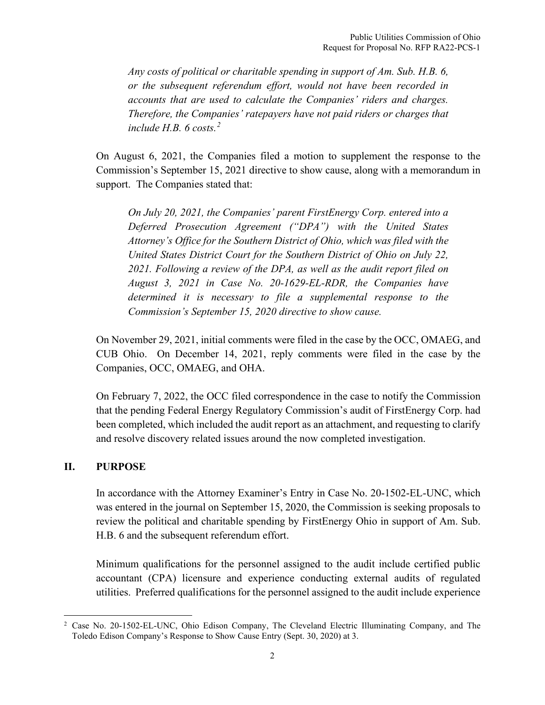*Any costs of political or charitable spending in support of Am. Sub. H.B. 6, or the subsequent referendum effort, would not have been recorded in accounts that are used to calculate the Companies' riders and charges. Therefore, the Companies' ratepayers have not paid riders or charges that include H.B. 6 costs.[2](#page-10-1)*

On August 6, 2021, the Companies filed a motion to supplement the response to the Commission's September 15, 2021 directive to show cause, along with a memorandum in support. The Companies stated that:

*On July 20, 2021, the Companies' parent FirstEnergy Corp. entered into a Deferred Prosecution Agreement ("DPA") with the United States Attorney's Office for the Southern District of Ohio, which was filed with the United States District Court for the Southern District of Ohio on July 22, 2021. Following a review of the DPA, as well as the audit report filed on August 3, 2021 in Case No. 20-1629-EL-RDR, the Companies have determined it is necessary to file a supplemental response to the Commission's September 15, 2020 directive to show cause.*

On November 29, 2021, initial comments were filed in the case by the OCC, OMAEG, and CUB Ohio. On December 14, 2021, reply comments were filed in the case by the Companies, OCC, OMAEG, and OHA.

On February 7, 2022, the OCC filed correspondence in the case to notify the Commission that the pending Federal Energy Regulatory Commission's audit of FirstEnergy Corp. had been completed, which included the audit report as an attachment, and requesting to clarify and resolve discovery related issues around the now completed investigation.

## <span id="page-10-0"></span>**II. PURPOSE**

In accordance with the Attorney Examiner's Entry in Case No. 20-1502-EL-UNC, which was entered in the journal on September 15, 2020, the Commission is seeking proposals to review the political and charitable spending by FirstEnergy Ohio in support of Am. Sub. H.B. 6 and the subsequent referendum effort.

Minimum qualifications for the personnel assigned to the audit include certified public accountant (CPA) licensure and experience conducting external audits of regulated utilities. Preferred qualifications for the personnel assigned to the audit include experience

<span id="page-10-1"></span><sup>&</sup>lt;sup>2</sup> Case No. 20-1502-EL-UNC, Ohio Edison Company, The Cleveland Electric Illuminating Company, and The Toledo Edison Company's Response to Show Cause Entry (Sept. 30, 2020) at 3.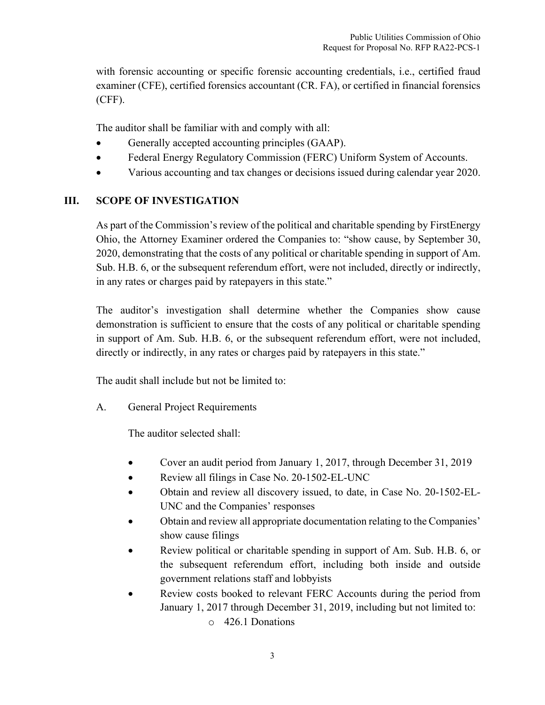with forensic accounting or specific forensic accounting credentials, i.e., certified fraud examiner (CFE), certified forensics accountant (CR. FA), or certified in financial forensics (CFF).

The auditor shall be familiar with and comply with all:

- Generally accepted accounting principles (GAAP).
- Federal Energy Regulatory Commission (FERC) Uniform System of Accounts.
- Various accounting and tax changes or decisions issued during calendar year 2020.

## <span id="page-11-0"></span>**III. SCOPE OF INVESTIGATION**

As part of the Commission's review of the political and charitable spending by FirstEnergy Ohio, the Attorney Examiner ordered the Companies to: "show cause, by September 30, 2020, demonstrating that the costs of any political or charitable spending in support of Am. Sub. H.B. 6, or the subsequent referendum effort, were not included, directly or indirectly, in any rates or charges paid by ratepayers in this state."

The auditor's investigation shall determine whether the Companies show cause demonstration is sufficient to ensure that the costs of any political or charitable spending in support of Am. Sub. H.B. 6, or the subsequent referendum effort, were not included, directly or indirectly, in any rates or charges paid by ratepayers in this state."

The audit shall include but not be limited to:

A. General Project Requirements

The auditor selected shall:

- Cover an audit period from January 1, 2017, through December 31, 2019
- Review all filings in Case No. 20-1502-EL-UNC
- Obtain and review all discovery issued, to date, in Case No. 20-1502-EL-UNC and the Companies' responses
- Obtain and review all appropriate documentation relating to the Companies' show cause filings
- Review political or charitable spending in support of Am. Sub. H.B. 6, or the subsequent referendum effort, including both inside and outside government relations staff and lobbyists
- Review costs booked to relevant FERC Accounts during the period from January 1, 2017 through December 31, 2019, including but not limited to: o 426.1 Donations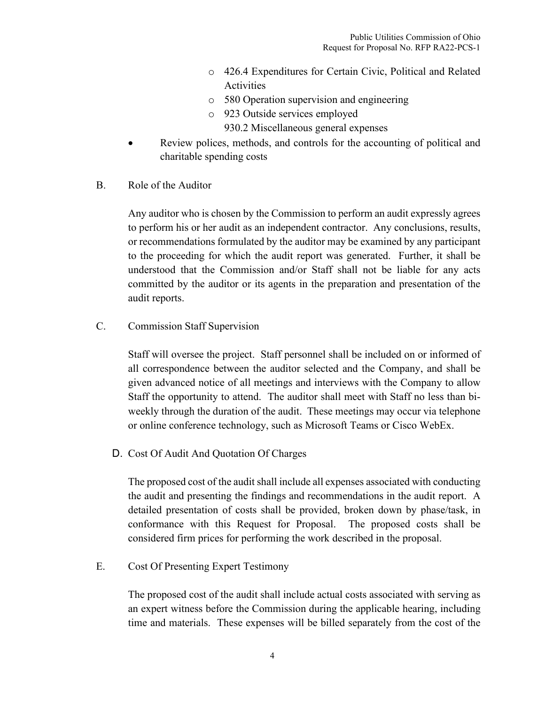- o 426.4 Expenditures for Certain Civic, Political and Related Activities
- o 580 Operation supervision and engineering
- o 923 Outside services employed
	- 930.2 Miscellaneous general expenses
- Review polices, methods, and controls for the accounting of political and charitable spending costs
- B. Role of the Auditor

Any auditor who is chosen by the Commission to perform an audit expressly agrees to perform his or her audit as an independent contractor. Any conclusions, results, or recommendations formulated by the auditor may be examined by any participant to the proceeding for which the audit report was generated. Further, it shall be understood that the Commission and/or Staff shall not be liable for any acts committed by the auditor or its agents in the preparation and presentation of the audit reports.

C. Commission Staff Supervision

Staff will oversee the project. Staff personnel shall be included on or informed of all correspondence between the auditor selected and the Company, and shall be given advanced notice of all meetings and interviews with the Company to allow Staff the opportunity to attend. The auditor shall meet with Staff no less than biweekly through the duration of the audit. These meetings may occur via telephone or online conference technology, such as Microsoft Teams or Cisco WebEx.

D. Cost Of Audit And Quotation Of Charges

The proposed cost of the audit shall include all expenses associated with conducting the audit and presenting the findings and recommendations in the audit report. A detailed presentation of costs shall be provided, broken down by phase/task, in conformance with this Request for Proposal. The proposed costs shall be considered firm prices for performing the work described in the proposal.

E. Cost Of Presenting Expert Testimony

The proposed cost of the audit shall include actual costs associated with serving as an expert witness before the Commission during the applicable hearing, including time and materials. These expenses will be billed separately from the cost of the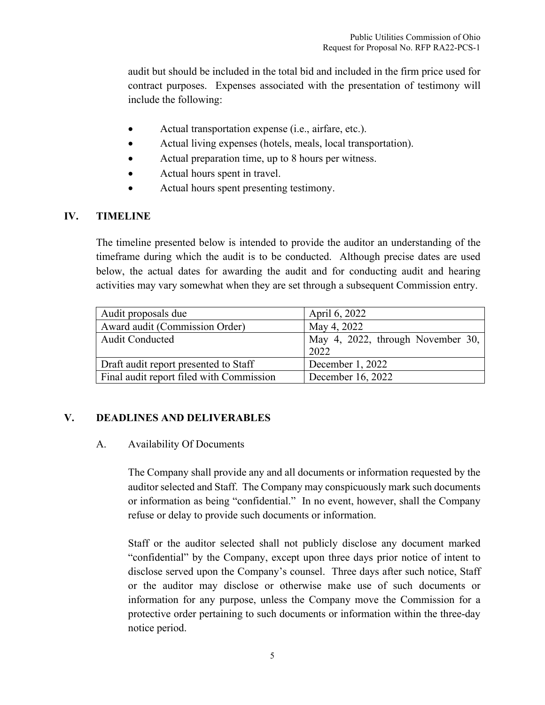audit but should be included in the total bid and included in the firm price used for contract purposes. Expenses associated with the presentation of testimony will include the following:

- Actual transportation expense (i.e., airfare, etc.).
- Actual living expenses (hotels, meals, local transportation).
- Actual preparation time, up to 8 hours per witness.
- Actual hours spent in travel.
- Actual hours spent presenting testimony.

## <span id="page-13-0"></span>**IV. TIMELINE**

The timeline presented below is intended to provide the auditor an understanding of the timeframe during which the audit is to be conducted. Although precise dates are used below, the actual dates for awarding the audit and for conducting audit and hearing activities may vary somewhat when they are set through a subsequent Commission entry.

| Audit proposals due                      | April 6, 2022                             |
|------------------------------------------|-------------------------------------------|
| Award audit (Commission Order)           | May 4, 2022                               |
| <b>Audit Conducted</b>                   | May 4, 2022, through November 30,<br>2022 |
| Draft audit report presented to Staff    | December 1, 2022                          |
| Final audit report filed with Commission | December 16, 2022                         |

#### <span id="page-13-1"></span>**V. DEADLINES AND DELIVERABLES**

#### A. Availability Of Documents

The Company shall provide any and all documents or information requested by the auditor selected and Staff. The Company may conspicuously mark such documents or information as being "confidential." In no event, however, shall the Company refuse or delay to provide such documents or information.

Staff or the auditor selected shall not publicly disclose any document marked "confidential" by the Company, except upon three days prior notice of intent to disclose served upon the Company's counsel. Three days after such notice, Staff or the auditor may disclose or otherwise make use of such documents or information for any purpose, unless the Company move the Commission for a protective order pertaining to such documents or information within the three-day notice period.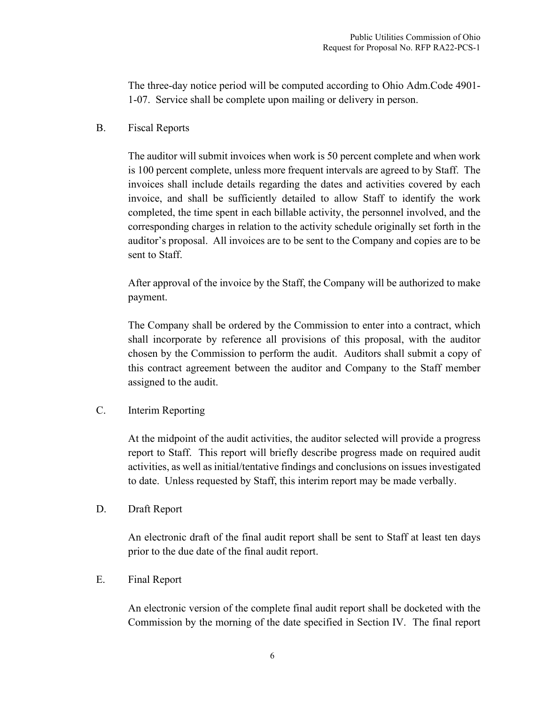The three-day notice period will be computed according to Ohio Adm.Code 4901- 1-07. Service shall be complete upon mailing or delivery in person.

B. Fiscal Reports

The auditor will submit invoices when work is 50 percent complete and when work is 100 percent complete, unless more frequent intervals are agreed to by Staff. The invoices shall include details regarding the dates and activities covered by each invoice, and shall be sufficiently detailed to allow Staff to identify the work completed, the time spent in each billable activity, the personnel involved, and the corresponding charges in relation to the activity schedule originally set forth in the auditor's proposal. All invoices are to be sent to the Company and copies are to be sent to Staff.

After approval of the invoice by the Staff, the Company will be authorized to make payment.

The Company shall be ordered by the Commission to enter into a contract, which shall incorporate by reference all provisions of this proposal, with the auditor chosen by the Commission to perform the audit. Auditors shall submit a copy of this contract agreement between the auditor and Company to the Staff member assigned to the audit.

## C. Interim Reporting

At the midpoint of the audit activities, the auditor selected will provide a progress report to Staff. This report will briefly describe progress made on required audit activities, as well as initial/tentative findings and conclusions on issues investigated to date. Unless requested by Staff, this interim report may be made verbally.

## D. Draft Report

An electronic draft of the final audit report shall be sent to Staff at least ten days prior to the due date of the final audit report.

E. Final Report

An electronic version of the complete final audit report shall be docketed with the Commission by the morning of the date specified in Section IV. The final report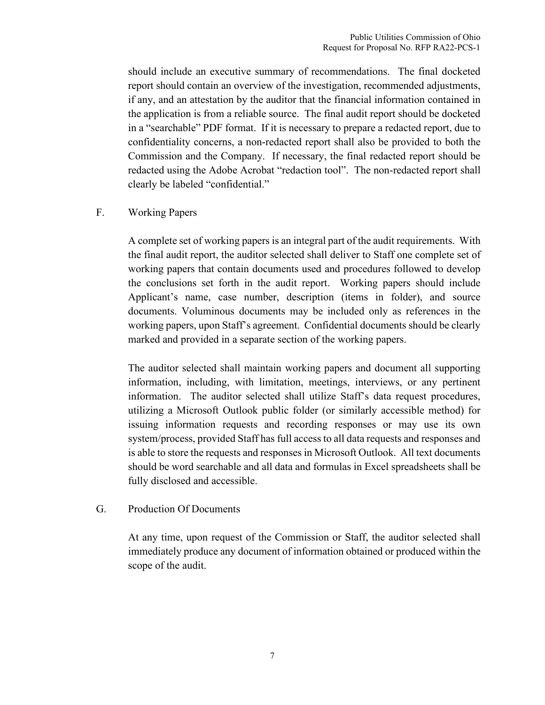should include an executive summary of recommendations. The final docketed report should contain an overview of the investigation, recommended adjustments, if any, and an attestation by the auditor that the financial information contained in the application is from a reliable source. The final audit report should be docketed in a "searchable" PDF format. If it is necessary to prepare a redacted report, due to confidentiality concerns, a non-redacted report shall also be provided to both the Commission and the Company. If necessary, the final redacted report should be redacted using the Adobe Acrobat "redaction tool". The non-redacted report shall clearly be labeled "confidential."

#### F. Working Papers

A complete set of working papers is an integral part of the audit requirements. With the final audit report, the auditor selected shall deliver to Staff one complete set of working papers that contain documents used and procedures followed to develop the conclusions set forth in the audit report. Working papers should include Applicant's name, case number, description (items in folder), and source documents. Voluminous documents may be included only as references in the working papers, upon Staff's agreement. Confidential documents should be clearly marked and provided in a separate section of the working papers.

The auditor selected shall maintain working papers and document all supporting information, including, with limitation, meetings, interviews, or any pertinent information. The auditor selected shall utilize Staff's data request procedures, utilizing a Microsoft Outlook public folder (or similarly accessible method) for issuing information requests and recording responses or may use its own system/process, provided Staff has full access to all data requests and responses and is able to store the requests and responses in Microsoft Outlook. All text documents should be word searchable and all data and formulas in Excel spreadsheets shall be fully disclosed and accessible.

## G. Production Of Documents

At any time, upon request of the Commission or Staff, the auditor selected shall immediately produce any document of information obtained or produced within the scope of the audit.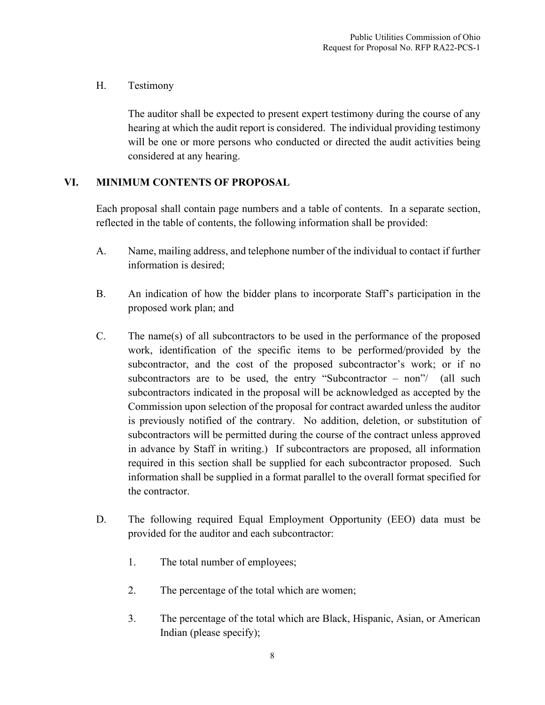## H. Testimony

The auditor shall be expected to present expert testimony during the course of any hearing at which the audit report is considered. The individual providing testimony will be one or more persons who conducted or directed the audit activities being considered at any hearing.

## <span id="page-16-0"></span>**VI. MINIMUM CONTENTS OF PROPOSAL**

Each proposal shall contain page numbers and a table of contents. In a separate section, reflected in the table of contents, the following information shall be provided:

- A. Name, mailing address, and telephone number of the individual to contact if further information is desired;
- B. An indication of how the bidder plans to incorporate Staff's participation in the proposed work plan; and
- C. The name(s) of all subcontractors to be used in the performance of the proposed work, identification of the specific items to be performed/provided by the subcontractor, and the cost of the proposed subcontractor's work; or if no subcontractors are to be used, the entry "Subcontractor – non"/ (all such subcontractors indicated in the proposal will be acknowledged as accepted by the Commission upon selection of the proposal for contract awarded unless the auditor is previously notified of the contrary. No addition, deletion, or substitution of subcontractors will be permitted during the course of the contract unless approved in advance by Staff in writing.) If subcontractors are proposed, all information required in this section shall be supplied for each subcontractor proposed. Such information shall be supplied in a format parallel to the overall format specified for the contractor.
- D. The following required Equal Employment Opportunity (EEO) data must be provided for the auditor and each subcontractor:
	- 1. The total number of employees;
	- 2. The percentage of the total which are women;
	- 3. The percentage of the total which are Black, Hispanic, Asian, or American Indian (please specify);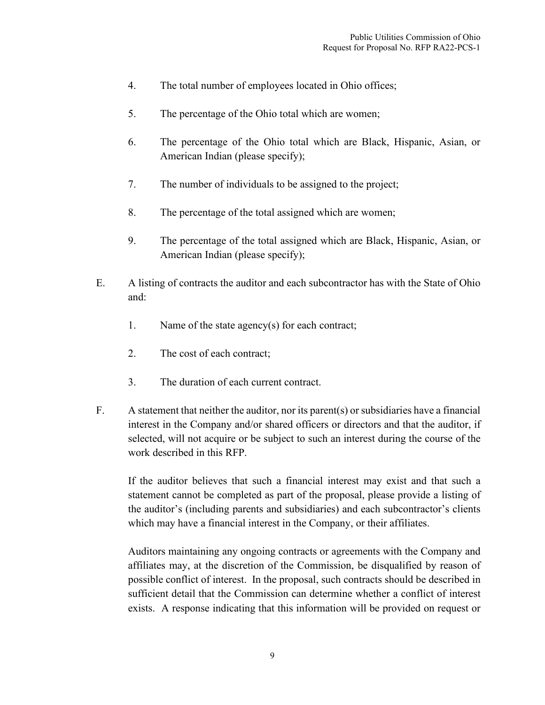- 4. The total number of employees located in Ohio offices;
- 5. The percentage of the Ohio total which are women;
- 6. The percentage of the Ohio total which are Black, Hispanic, Asian, or American Indian (please specify);
- 7. The number of individuals to be assigned to the project;
- 8. The percentage of the total assigned which are women;
- 9. The percentage of the total assigned which are Black, Hispanic, Asian, or American Indian (please specify);
- E. A listing of contracts the auditor and each subcontractor has with the State of Ohio and:
	- 1. Name of the state agency(s) for each contract;
	- 2. The cost of each contract;
	- 3. The duration of each current contract.
- F. A statement that neither the auditor, nor its parent(s) or subsidiaries have a financial interest in the Company and/or shared officers or directors and that the auditor, if selected, will not acquire or be subject to such an interest during the course of the work described in this RFP.

If the auditor believes that such a financial interest may exist and that such a statement cannot be completed as part of the proposal, please provide a listing of the auditor's (including parents and subsidiaries) and each subcontractor's clients which may have a financial interest in the Company, or their affiliates.

Auditors maintaining any ongoing contracts or agreements with the Company and affiliates may, at the discretion of the Commission, be disqualified by reason of possible conflict of interest. In the proposal, such contracts should be described in sufficient detail that the Commission can determine whether a conflict of interest exists. A response indicating that this information will be provided on request or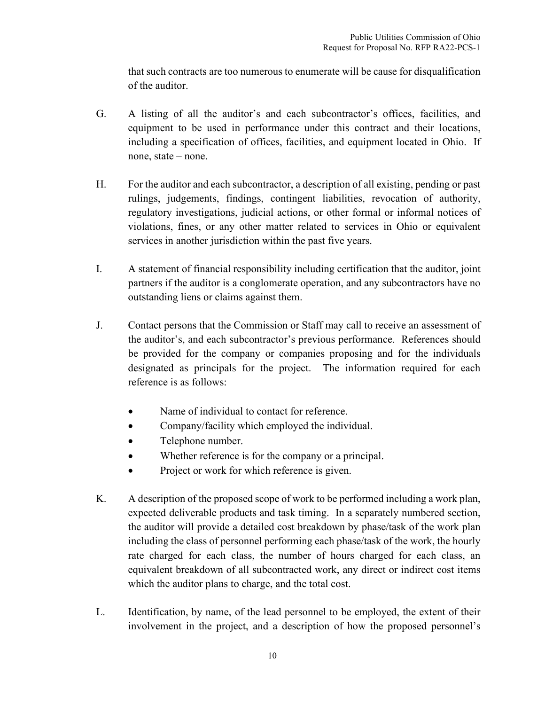that such contracts are too numerous to enumerate will be cause for disqualification of the auditor.

- G. A listing of all the auditor's and each subcontractor's offices, facilities, and equipment to be used in performance under this contract and their locations, including a specification of offices, facilities, and equipment located in Ohio. If none, state – none.
- H. For the auditor and each subcontractor, a description of all existing, pending or past rulings, judgements, findings, contingent liabilities, revocation of authority, regulatory investigations, judicial actions, or other formal or informal notices of violations, fines, or any other matter related to services in Ohio or equivalent services in another jurisdiction within the past five years.
- I. A statement of financial responsibility including certification that the auditor, joint partners if the auditor is a conglomerate operation, and any subcontractors have no outstanding liens or claims against them.
- J. Contact persons that the Commission or Staff may call to receive an assessment of the auditor's, and each subcontractor's previous performance. References should be provided for the company or companies proposing and for the individuals designated as principals for the project. The information required for each reference is as follows:
	- Name of individual to contact for reference.
	- Company/facility which employed the individual.
	- Telephone number.
	- Whether reference is for the company or a principal.
	- Project or work for which reference is given.
- K. A description of the proposed scope of work to be performed including a work plan, expected deliverable products and task timing. In a separately numbered section, the auditor will provide a detailed cost breakdown by phase/task of the work plan including the class of personnel performing each phase/task of the work, the hourly rate charged for each class, the number of hours charged for each class, an equivalent breakdown of all subcontracted work, any direct or indirect cost items which the auditor plans to charge, and the total cost.
- L. Identification, by name, of the lead personnel to be employed, the extent of their involvement in the project, and a description of how the proposed personnel's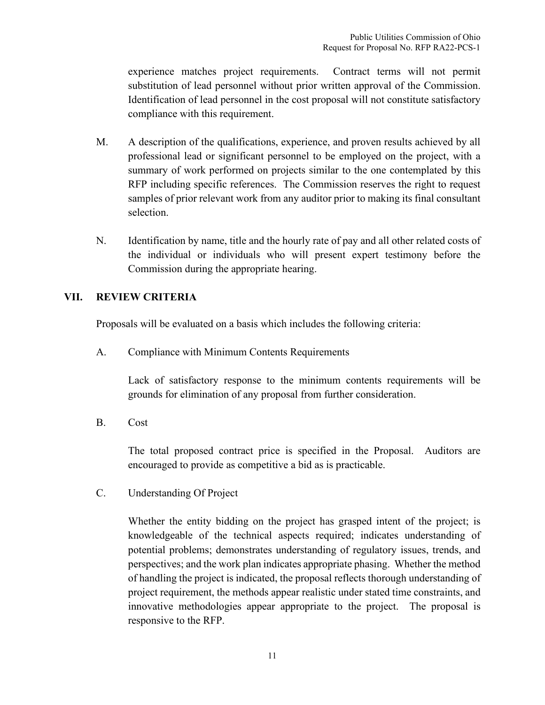experience matches project requirements. Contract terms will not permit substitution of lead personnel without prior written approval of the Commission. Identification of lead personnel in the cost proposal will not constitute satisfactory compliance with this requirement.

- M. A description of the qualifications, experience, and proven results achieved by all professional lead or significant personnel to be employed on the project, with a summary of work performed on projects similar to the one contemplated by this RFP including specific references. The Commission reserves the right to request samples of prior relevant work from any auditor prior to making its final consultant selection.
- N. Identification by name, title and the hourly rate of pay and all other related costs of the individual or individuals who will present expert testimony before the Commission during the appropriate hearing.

## <span id="page-19-0"></span>**VII. REVIEW CRITERIA**

Proposals will be evaluated on a basis which includes the following criteria:

A. Compliance with Minimum Contents Requirements

Lack of satisfactory response to the minimum contents requirements will be grounds for elimination of any proposal from further consideration.

B. Cost

The total proposed contract price is specified in the Proposal. Auditors are encouraged to provide as competitive a bid as is practicable.

C. Understanding Of Project

Whether the entity bidding on the project has grasped intent of the project; is knowledgeable of the technical aspects required; indicates understanding of potential problems; demonstrates understanding of regulatory issues, trends, and perspectives; and the work plan indicates appropriate phasing. Whether the method of handling the project is indicated, the proposal reflects thorough understanding of project requirement, the methods appear realistic under stated time constraints, and innovative methodologies appear appropriate to the project. The proposal is responsive to the RFP.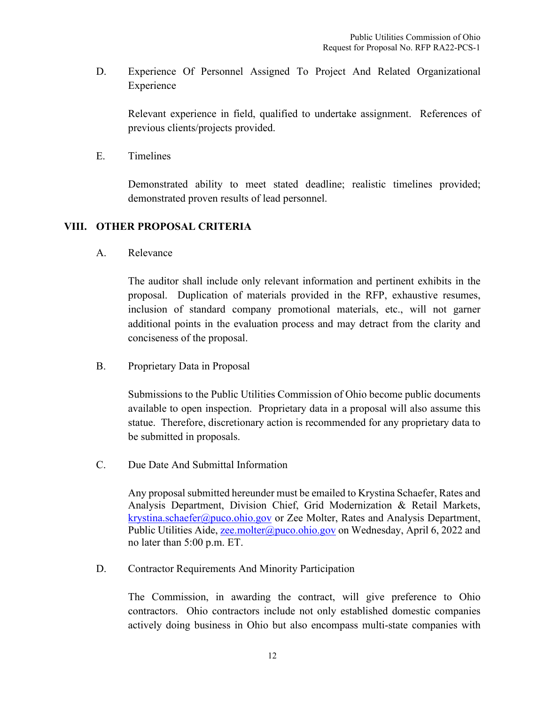D. Experience Of Personnel Assigned To Project And Related Organizational Experience

Relevant experience in field, qualified to undertake assignment. References of previous clients/projects provided.

E. Timelines

Demonstrated ability to meet stated deadline; realistic timelines provided; demonstrated proven results of lead personnel.

## <span id="page-20-0"></span>**VIII. OTHER PROPOSAL CRITERIA**

A. Relevance

The auditor shall include only relevant information and pertinent exhibits in the proposal. Duplication of materials provided in the RFP, exhaustive resumes, inclusion of standard company promotional materials, etc., will not garner additional points in the evaluation process and may detract from the clarity and conciseness of the proposal.

B. Proprietary Data in Proposal

Submissions to the Public Utilities Commission of Ohio become public documents available to open inspection. Proprietary data in a proposal will also assume this statue. Therefore, discretionary action is recommended for any proprietary data to be submitted in proposals.

C. Due Date And Submittal Information

Any proposal submitted hereunder must be emailed to Krystina Schaefer, Rates and Analysis Department, Division Chief, Grid Modernization & Retail Markets, [krystina.schaefer@puco.ohio.gov](mailto:krystina.schaefer@puco.ohio.gov) or Zee Molter, Rates and Analysis Department, Public Utilities Aide, [zee.molter@puco.ohio.gov](mailto:zee.molter@puco.ohio.gov) on Wednesday, April 6, 2022 and no later than 5:00 p.m. ET.

D. Contractor Requirements And Minority Participation

The Commission, in awarding the contract, will give preference to Ohio contractors. Ohio contractors include not only established domestic companies actively doing business in Ohio but also encompass multi-state companies with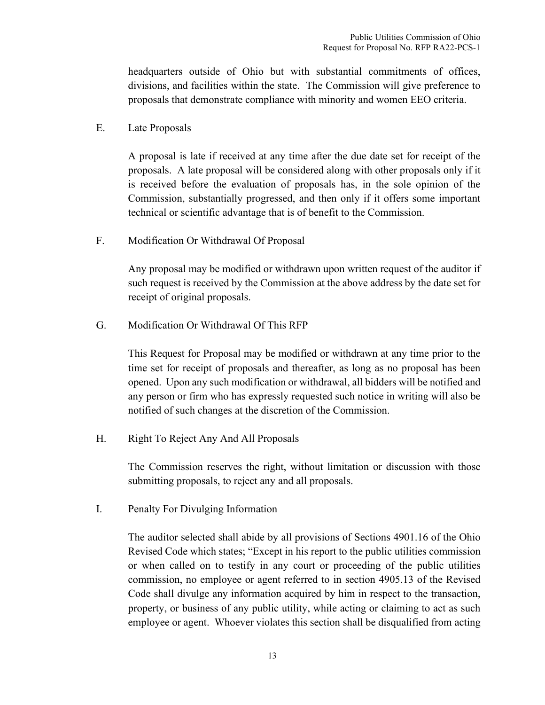headquarters outside of Ohio but with substantial commitments of offices, divisions, and facilities within the state. The Commission will give preference to proposals that demonstrate compliance with minority and women EEO criteria.

E. Late Proposals

A proposal is late if received at any time after the due date set for receipt of the proposals. A late proposal will be considered along with other proposals only if it is received before the evaluation of proposals has, in the sole opinion of the Commission, substantially progressed, and then only if it offers some important technical or scientific advantage that is of benefit to the Commission.

F. Modification Or Withdrawal Of Proposal

Any proposal may be modified or withdrawn upon written request of the auditor if such request is received by the Commission at the above address by the date set for receipt of original proposals.

G. Modification Or Withdrawal Of This RFP

This Request for Proposal may be modified or withdrawn at any time prior to the time set for receipt of proposals and thereafter, as long as no proposal has been opened. Upon any such modification or withdrawal, all bidders will be notified and any person or firm who has expressly requested such notice in writing will also be notified of such changes at the discretion of the Commission.

H. Right To Reject Any And All Proposals

The Commission reserves the right, without limitation or discussion with those submitting proposals, to reject any and all proposals.

I. Penalty For Divulging Information

The auditor selected shall abide by all provisions of Sections 4901.16 of the Ohio Revised Code which states; "Except in his report to the public utilities commission or when called on to testify in any court or proceeding of the public utilities commission, no employee or agent referred to in section 4905.13 of the Revised Code shall divulge any information acquired by him in respect to the transaction, property, or business of any public utility, while acting or claiming to act as such employee or agent. Whoever violates this section shall be disqualified from acting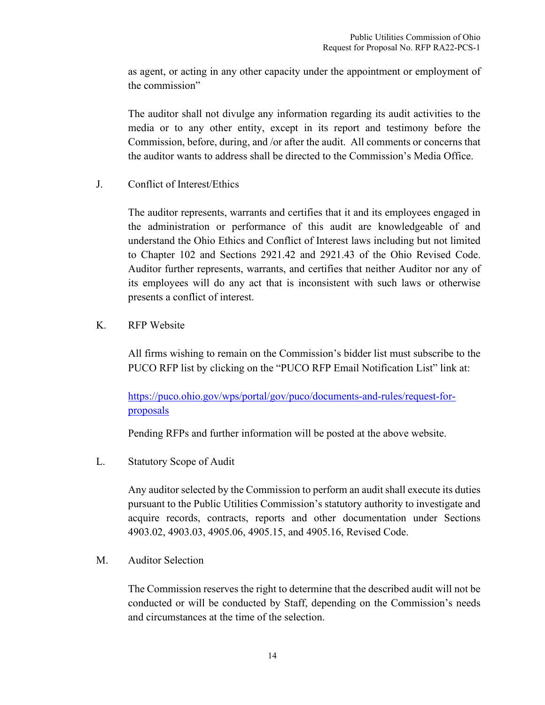as agent, or acting in any other capacity under the appointment or employment of the commission"

The auditor shall not divulge any information regarding its audit activities to the media or to any other entity, except in its report and testimony before the Commission, before, during, and /or after the audit. All comments or concerns that the auditor wants to address shall be directed to the Commission's Media Office.

J. Conflict of Interest/Ethics

The auditor represents, warrants and certifies that it and its employees engaged in the administration or performance of this audit are knowledgeable of and understand the Ohio Ethics and Conflict of Interest laws including but not limited to Chapter 102 and Sections 2921.42 and 2921.43 of the Ohio Revised Code. Auditor further represents, warrants, and certifies that neither Auditor nor any of its employees will do any act that is inconsistent with such laws or otherwise presents a conflict of interest.

K. RFP Website

All firms wishing to remain on the Commission's bidder list must subscribe to the PUCO RFP list by clicking on the "PUCO RFP Email Notification List" link at:

https://puco.ohio.gov/wps/portal/gov/puco/documents-and-rules/request-forproposals

Pending RFPs and further information will be posted at the above website.

L. Statutory Scope of Audit

Any auditor selected by the Commission to perform an audit shall execute its duties pursuant to the Public Utilities Commission's statutory authority to investigate and acquire records, contracts, reports and other documentation under Sections 4903.02, 4903.03, 4905.06, 4905.15, and 4905.16, Revised Code.

M. Auditor Selection

The Commission reserves the right to determine that the described audit will not be conducted or will be conducted by Staff, depending on the Commission's needs and circumstances at the time of the selection.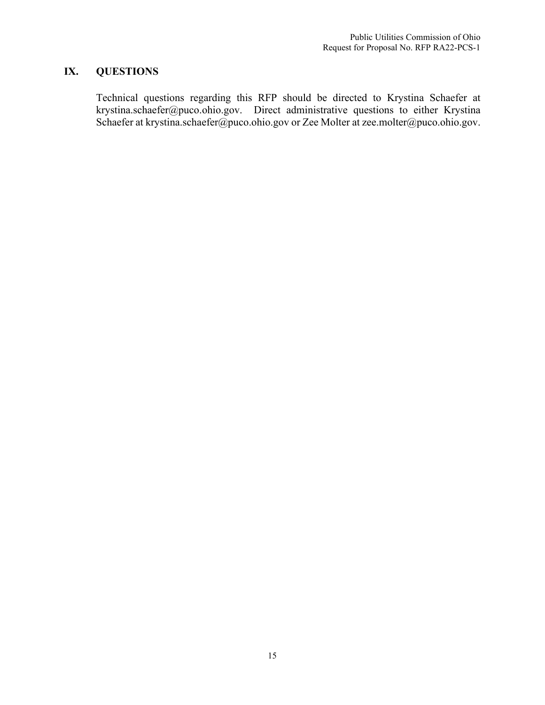# <span id="page-23-0"></span>**IX. QUESTIONS**

Technical questions regarding this RFP should be directed to Krystina Schaefer at krystina.schaefer@puco.ohio.gov. Direct administrative questions to either Krystina Schaefer at krystina.schaefer@puco.ohio.gov or Zee Molter at zee.molter@puco.ohio.gov.